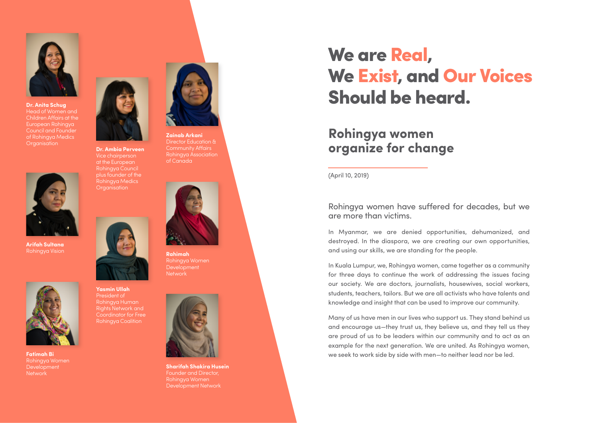

**Dr. Anita Schug** Head of Women and Children Affairs at the European Rohingya Council and Founder of Rohingya Medics **Organisation** 



**Arifah Sultana**



**Fatimah Bi** Rohingya Women Development **Network** 



**Dr. Ambia Perveen** Vice chairperson at the European Rohingya Council plus founder of the Rohingya Medics **Organisation** 

**Yasmin Ullah**  President of Rohingya Human Rights Network and Coordinator for Free Rohingya Coalition



of Canada

Director Education & Community Affairs Rohingya Association

**Rahimah** Rohingya Women Development Network



**Sharifah Shakira Husein** Founder and Director, Rohingya Women Development Network

## We are Real, We Exist, and Our Voices Should be heard.

## **Rohingya women organize for change**

(April 10, 2019)

Rohingya women have suffered for decades, but we are more than victims.

In Myanmar, we are denied opportunities, dehumanized, and destroyed. In the diaspora, we are creating our own opportunities, and using our skills, we are standing for the people.

In Kuala Lumpur, we, Rohingya women, came together as a community for three days to continue the work of addressing the issues facing our society. We are doctors, journalists, housewives, social workers, students, teachers, tailors. But we are all activists who have talents and knowledge and insight that can be used to improve our community.

Many of us have men in our lives who support us. They stand behind us and encourage us—they trust us, they believe us, and they tell us they are proud of us to be leaders within our community and to act as an example for the next generation. We are united. As Rohingya women, we seek to work side by side with men—to neither lead nor be led.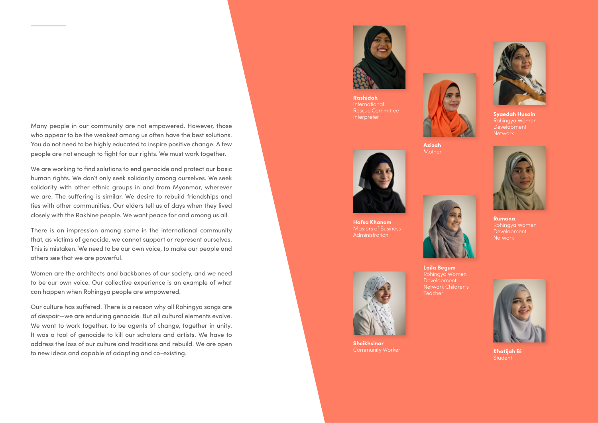Many people in our community are not empowered. However, those who appear to be the weakest among us often have the best solutions. You do not need to be highly educated to inspire positive change. A few people are not enough to fight for our rights. We must work together.

We are working to find solutions to end genocide and protect our basic human rights. We don't only seek solidarity among ourselves. We seek solidarity with other ethnic groups in and from Myanmar, wherever we are. The suffering is similar. We desire to rebuild friendships and ties with other communities. Our elders tell us of days when they lived closely with the Rakhine people. We want peace for and among us all.

There is an impression among some in the international community that, as victims of genocide, we cannot support or represent ourselves. This is mistaken. We need to be our own voice, to make our people and others see that we are powerful.

Women are the architects and backbones of our society, and we need to be our own voice. Our collective experience is an example of what can happen when Rohingya people are empowered.

Our culture has suffered. There is a reason why all Rohingya songs are of despair—we are enduring genocide. But all cultural elements evolve. We want to work together, to be agents of change, together in unity. It was a tool of genocide to kill our scholars and artists. We have to address the loss of our culture and traditions and rebuild. We are open to new ideas and capable of adapting and co-existing.



**Rashidah** International Rescue Committee Interpreter



**Azizah** Mother



**Hafsa Khanom** Masters of Business **Administration** 



**Sheikhsinar** Community Worker



**Syaedah Husain Development Network** 



**Rumana** Rohingya Women **Development Network** 

**Laila Begum Development** Network Children's Teacher



**Khatijah Bi Student**